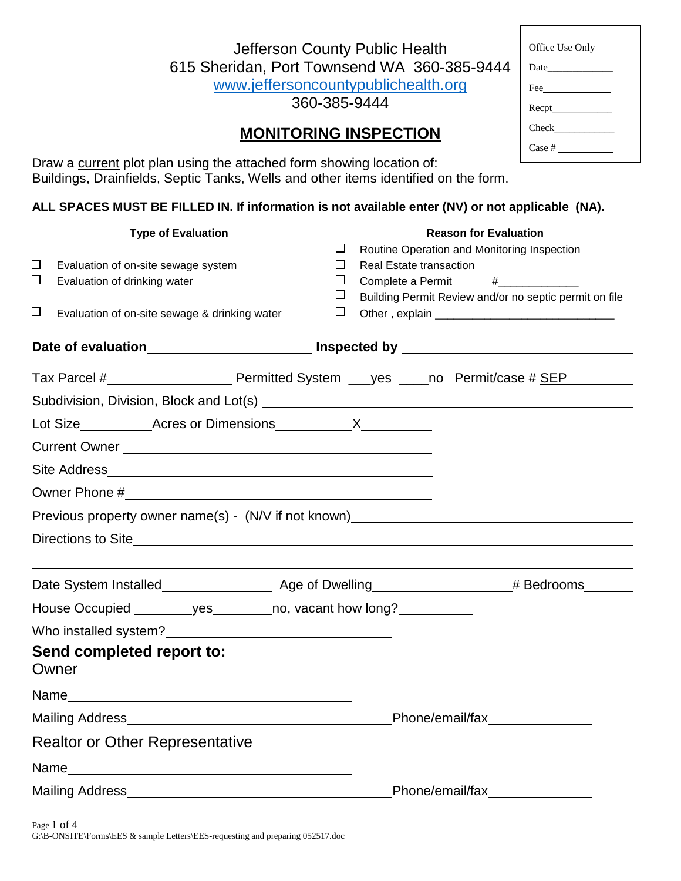| Jefferson County Public Health              |  |  |  |  |  |
|---------------------------------------------|--|--|--|--|--|
| 615 Sheridan, Port Townsend WA 360-385-9444 |  |  |  |  |  |
| www.jeffersoncountypublichealth.org         |  |  |  |  |  |

360-385-9444

# **MONITORING INSPECTION**

| Office Use Only |  |  |  |  |  |  |
|-----------------|--|--|--|--|--|--|
|                 |  |  |  |  |  |  |
|                 |  |  |  |  |  |  |
|                 |  |  |  |  |  |  |
| Check           |  |  |  |  |  |  |
| Case #          |  |  |  |  |  |  |

Draw a current plot plan using the attached form showing location of: Buildings, Drainfields, Septic Tanks, Wells and other items identified on the form.

### **ALL SPACES MUST BE FILLED IN. If information is not available enter (NV) or not applicable (NA).**

| <b>Type of Evaluation</b> |                                                                                                                                                                                                                                |        |                                | <b>Reason for Evaluation</b>                           |  |  |  |  |  |  |
|---------------------------|--------------------------------------------------------------------------------------------------------------------------------------------------------------------------------------------------------------------------------|--------|--------------------------------|--------------------------------------------------------|--|--|--|--|--|--|
|                           |                                                                                                                                                                                                                                | П      |                                | Routine Operation and Monitoring Inspection            |  |  |  |  |  |  |
| $\Box$                    | Evaluation of on-site sewage system                                                                                                                                                                                            | $\Box$ | <b>Real Estate transaction</b> |                                                        |  |  |  |  |  |  |
| $\Box$                    | Evaluation of drinking water                                                                                                                                                                                                   | $\Box$ | Complete a Permit              | $\frac{1}{2}$                                          |  |  |  |  |  |  |
|                           |                                                                                                                                                                                                                                | ப      |                                | Building Permit Review and/or no septic permit on file |  |  |  |  |  |  |
| $\Box$                    | Evaluation of on-site sewage & drinking water                                                                                                                                                                                  | Ш      |                                |                                                        |  |  |  |  |  |  |
|                           |                                                                                                                                                                                                                                |        |                                |                                                        |  |  |  |  |  |  |
|                           |                                                                                                                                                                                                                                |        |                                |                                                        |  |  |  |  |  |  |
|                           |                                                                                                                                                                                                                                |        |                                |                                                        |  |  |  |  |  |  |
|                           |                                                                                                                                                                                                                                |        |                                |                                                        |  |  |  |  |  |  |
|                           | Current Owner New York Current Current Current Current Current Current Current Current Current Current Current Current Current Current Current Current Current Current Current Current Current Current Current Current Current |        |                                |                                                        |  |  |  |  |  |  |
|                           |                                                                                                                                                                                                                                |        |                                |                                                        |  |  |  |  |  |  |
|                           |                                                                                                                                                                                                                                |        |                                |                                                        |  |  |  |  |  |  |
|                           | Previous property owner name(s) - (N/V if not known)_____________________________                                                                                                                                              |        |                                |                                                        |  |  |  |  |  |  |
|                           |                                                                                                                                                                                                                                |        |                                |                                                        |  |  |  |  |  |  |
|                           |                                                                                                                                                                                                                                |        |                                |                                                        |  |  |  |  |  |  |
|                           |                                                                                                                                                                                                                                |        |                                |                                                        |  |  |  |  |  |  |
|                           | House Occupied __________ yes _________ no, vacant how long?____________                                                                                                                                                       |        |                                |                                                        |  |  |  |  |  |  |
|                           | Who installed system?<br><u> Who installed system?</u>                                                                                                                                                                         |        |                                |                                                        |  |  |  |  |  |  |
|                           | Send completed report to:<br>Owner                                                                                                                                                                                             |        |                                |                                                        |  |  |  |  |  |  |
|                           |                                                                                                                                                                                                                                |        |                                |                                                        |  |  |  |  |  |  |
|                           | Mailing Address Management and the mail of the mail of the mail of the mail of the mail of the mail of the mail of the mail of the mail of the mail of the mail of the mail of the mail of the mail of the mail of the mail of |        |                                | Phone/email/fax                                        |  |  |  |  |  |  |
|                           | <b>Realtor or Other Representative</b>                                                                                                                                                                                         |        |                                |                                                        |  |  |  |  |  |  |
|                           |                                                                                                                                                                                                                                |        |                                |                                                        |  |  |  |  |  |  |
|                           | Mailing Address Management and the Mailing Address                                                                                                                                                                             |        |                                | Phone/email/fax                                        |  |  |  |  |  |  |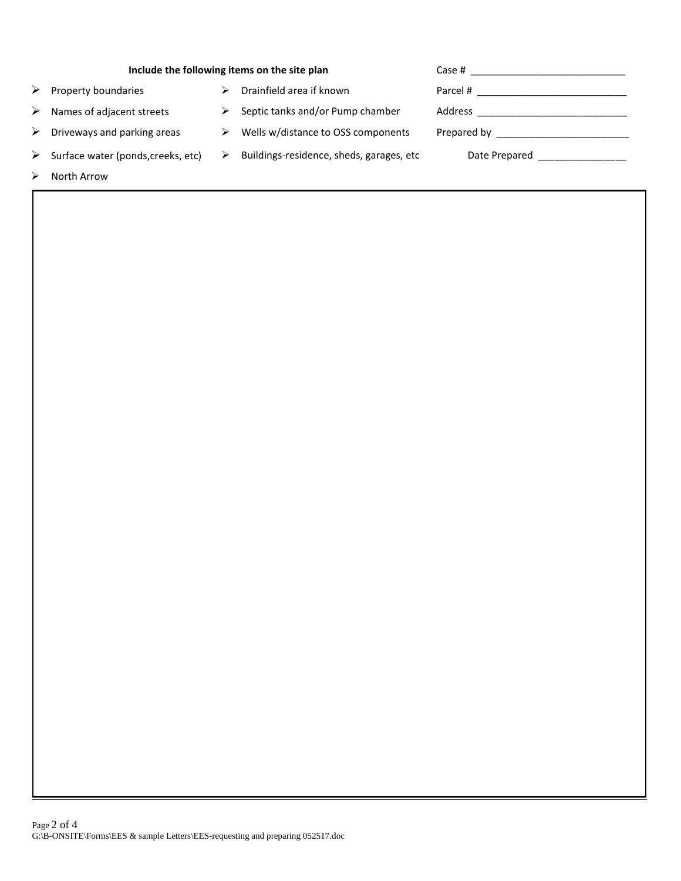| Include the following items on the site plan | Case # 2008 2008 2012 2022 2023 2024 2022 2022 2023 2024 2022 2023 2024 2022 2023 2024 2022 2023 202 |                                          |                                                                                                                                                                                                                                |
|----------------------------------------------|------------------------------------------------------------------------------------------------------|------------------------------------------|--------------------------------------------------------------------------------------------------------------------------------------------------------------------------------------------------------------------------------|
| Property boundaries                          |                                                                                                      | Drainfield area if known                 | Parcel #                                                                                                                                                                                                                       |
| Names of adjacent streets                    | ⋗                                                                                                    | Septic tanks and/or Pump chamber         |                                                                                                                                                                                                                                |
| Driveways and parking areas                  | ⋗                                                                                                    | Wells w/distance to OSS components       |                                                                                                                                                                                                                                |
| Surface water (ponds, creeks, etc)           |                                                                                                      | Buildings-residence, sheds, garages, etc | Date Prepared and the property of the property of the property of the property of the property of the property of the property of the property of the property of the property of the property of the property of the property |
| North Arrow                                  |                                                                                                      |                                          |                                                                                                                                                                                                                                |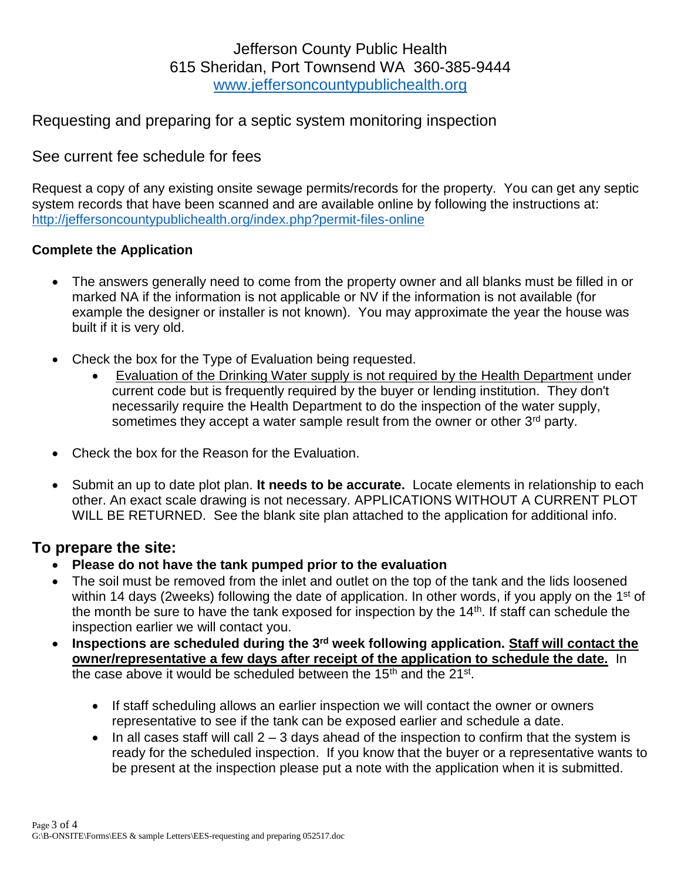# Jefferson County Public Health 615 Sheridan, Port Townsend WA 360-385-9444 [www.jeffersoncountypublichealth.org](http://www.jeffersoncountypublichealth.org/)

# Requesting and preparing for a septic system monitoring inspection

### See current fee schedule for fees

Request a copy of any existing onsite sewage permits/records for the property. You can get any septic system records that have been scanned and are available online by following the instructions at: <http://jeffersoncountypublichealth.org/index.php?permit-files-online>

#### **Complete the Application**

- The answers generally need to come from the property owner and all blanks must be filled in or marked NA if the information is not applicable or NV if the information is not available (for example the designer or installer is not known). You may approximate the year the house was built if it is very old.
- Check the box for the Type of Evaluation being requested.
	- Evaluation of the Drinking Water supply is not required by the Health Department under current code but is frequently required by the buyer or lending institution. They don't necessarily require the Health Department to do the inspection of the water supply, sometimes they accept a water sample result from the owner or other  $3<sup>rd</sup>$  party.
- Check the box for the Reason for the Evaluation.
- Submit an up to date plot plan. **It needs to be accurate.** Locate elements in relationship to each other. An exact scale drawing is not necessary. APPLICATIONS WITHOUT A CURRENT PLOT WILL BE RETURNED. See the blank site plan attached to the application for additional info.

#### **To prepare the site:**

- **Please do not have the tank pumped prior to the evaluation**
- The soil must be removed from the inlet and outlet on the top of the tank and the lids loosened within 14 days (2weeks) following the date of application. In other words, if you apply on the 1<sup>st</sup> of the month be sure to have the tank exposed for inspection by the  $14<sup>th</sup>$ . If staff can schedule the inspection earlier we will contact you.
- **Inspections are scheduled during the 3rd week following application. Staff will contact the owner/representative a few days after receipt of the application to schedule the date.** In the case above it would be scheduled between the 15<sup>th</sup> and the 21<sup>st</sup>.
	- If staff scheduling allows an earlier inspection we will contact the owner or owners representative to see if the tank can be exposed earlier and schedule a date.
	- In all cases staff will call  $2 3$  days ahead of the inspection to confirm that the system is ready for the scheduled inspection. If you know that the buyer or a representative wants to be present at the inspection please put a note with the application when it is submitted.